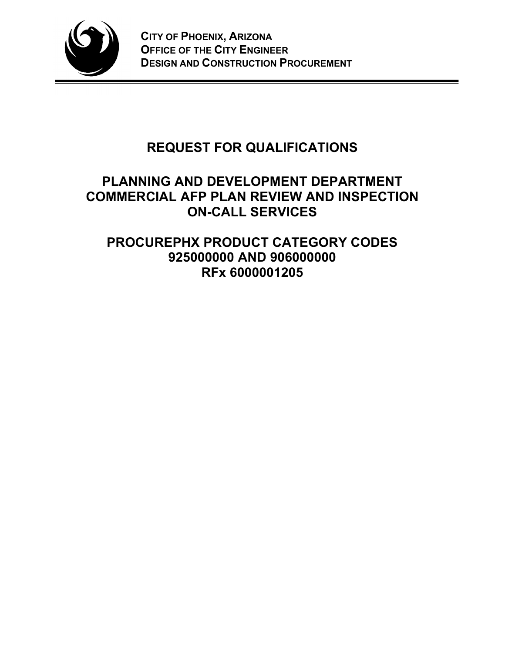

# **REQUEST FOR QUALIFICATIONS**

## **PLANNING AND DEVELOPMENT DEPARTMENT COMMERCIAL AFP PLAN REVIEW AND INSPECTION ON-CALL SERVICES**

## **PROCUREPHX PRODUCT CATEGORY CODES 925000000 AND 906000000 RFx 6000001205**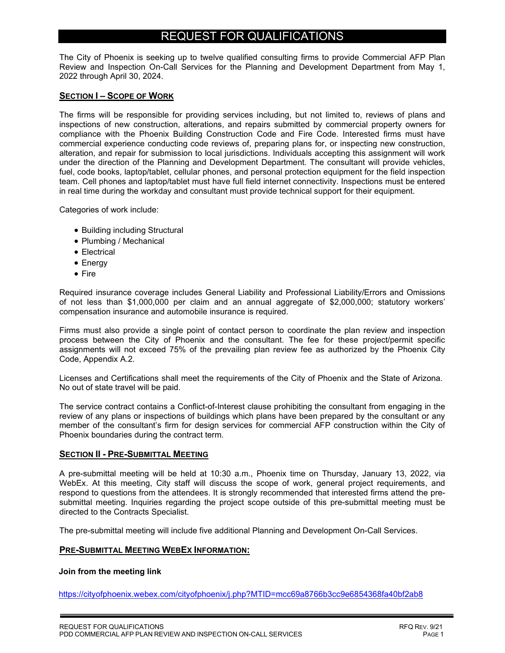### REQUEST FOR QUALIFICATIONS

The City of Phoenix is seeking up to twelve qualified consulting firms to provide Commercial AFP Plan Review and Inspection On-Call Services for the Planning and Development Department from May 1, 2022 through April 30, 2024.

#### **SECTION I – SCOPE OF WORK**

The firms will be responsible for providing services including, but not limited to, reviews of plans and inspections of new construction, alterations, and repairs submitted by commercial property owners for compliance with the Phoenix Building Construction Code and Fire Code. Interested firms must have commercial experience conducting code reviews of, preparing plans for, or inspecting new construction, alteration, and repair for submission to local jurisdictions. Individuals accepting this assignment will work under the direction of the Planning and Development Department. The consultant will provide vehicles, fuel, code books, laptop/tablet, cellular phones, and personal protection equipment for the field inspection team. Cell phones and laptop/tablet must have full field internet connectivity. Inspections must be entered in real time during the workday and consultant must provide technical support for their equipment.

Categories of work include:

- Building including Structural
- Plumbing / Mechanical
- Electrical
- Energy
- Fire

Required insurance coverage includes General Liability and Professional Liability/Errors and Omissions of not less than \$1,000,000 per claim and an annual aggregate of \$2,000,000; statutory workers' compensation insurance and automobile insurance is required.

Firms must also provide a single point of contact person to coordinate the plan review and inspection process between the City of Phoenix and the consultant. The fee for these project/permit specific assignments will not exceed 75% of the prevailing plan review fee as authorized by the Phoenix City Code, Appendix A.2.

Licenses and Certifications shall meet the requirements of the City of Phoenix and the State of Arizona. No out of state travel will be paid.

The service contract contains a Conflict-of-Interest clause prohibiting the consultant from engaging in the review of any plans or inspections of buildings which plans have been prepared by the consultant or any member of the consultant's firm for design services for commercial AFP construction within the City of Phoenix boundaries during the contract term.

#### **SECTION II - PRE-SUBMITTAL MEETING**

A pre-submittal meeting will be held at 10:30 a.m., Phoenix time on Thursday, January 13, 2022, via WebEx. At this meeting, City staff will discuss the scope of work, general project requirements, and respond to questions from the attendees. It is strongly recommended that interested firms attend the presubmittal meeting. Inquiries regarding the project scope outside of this pre-submittal meeting must be directed to the Contracts Specialist.

The pre-submittal meeting will include five additional Planning and Development On-Call Services.

#### **PRE-SUBMITTAL MEETING WEBEX INFORMATION:**

#### **Join from the meeting link**

https://cityofphoenix.webex.com/cityofphoenix/j.php?MTID=mcc69a8766b3cc9e6854368fa40bf2ab8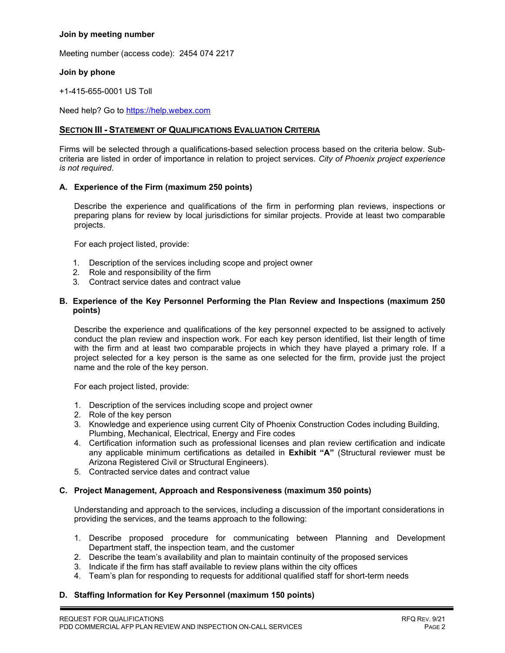#### **Join by meeting number**

Meeting number (access code): 2454 074 2217

#### **Join by phone**

+1-415-655-0001 US Toll

Need help? Go to https://help.webex.com

#### **SECTION III - STATEMENT OF QUALIFICATIONS EVALUATION CRITERIA**

Firms will be selected through a qualifications-based selection process based on the criteria below. Subcriteria are listed in order of importance in relation to project services. *City of Phoenix project experience is not required*.

#### **A. Experience of the Firm (maximum 250 points)**

Describe the experience and qualifications of the firm in performing plan reviews, inspections or preparing plans for review by local jurisdictions for similar projects. Provide at least two comparable projects.

For each project listed, provide:

- 1. Description of the services including scope and project owner
- 2. Role and responsibility of the firm
- 3. Contract service dates and contract value

#### **B. Experience of the Key Personnel Performing the Plan Review and Inspections (maximum 250 points)**

Describe the experience and qualifications of the key personnel expected to be assigned to actively conduct the plan review and inspection work. For each key person identified, list their length of time with the firm and at least two comparable projects in which they have played a primary role. If a project selected for a key person is the same as one selected for the firm, provide just the project name and the role of the key person.

For each project listed, provide:

- 1. Description of the services including scope and project owner
- 2. Role of the key person
- 3. Knowledge and experience using current City of Phoenix Construction Codes including Building, Plumbing, Mechanical, Electrical, Energy and Fire codes
- 4. Certification information such as professional licenses and plan review certification and indicate any applicable minimum certifications as detailed in **Exhibit "A"** (Structural reviewer must be Arizona Registered Civil or Structural Engineers).
- 5. Contracted service dates and contract value

#### **C. Project Management, Approach and Responsiveness (maximum 350 points)**

Understanding and approach to the services, including a discussion of the important considerations in providing the services, and the teams approach to the following:

- 1. Describe proposed procedure for communicating between Planning and Development Department staff, the inspection team, and the customer
- 2. Describe the team's availability and plan to maintain continuity of the proposed services
- 3. Indicate if the firm has staff available to review plans within the city offices
- 4. Team's plan for responding to requests for additional qualified staff for short-term needs

#### **D. Staffing Information for Key Personnel (maximum 150 points)**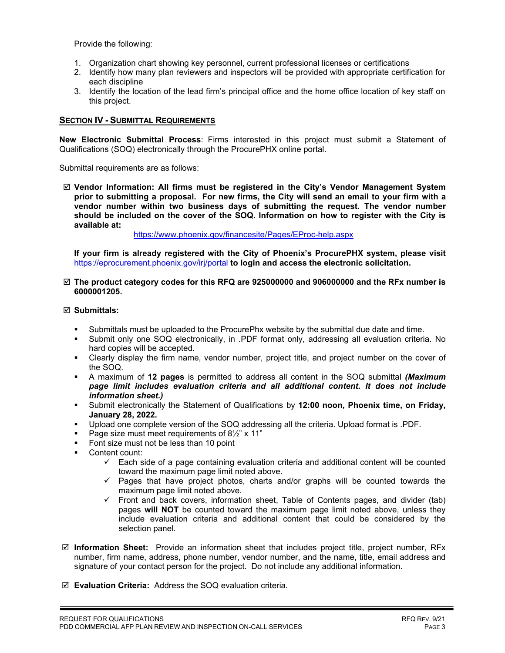Provide the following:

- 1. Organization chart showing key personnel, current professional licenses or certifications
- 2. Identify how many plan reviewers and inspectors will be provided with appropriate certification for each discipline
- 3. Identify the location of the lead firm's principal office and the home office location of key staff on this project.

#### **SECTION IV - SUBMITTAL REQUIREMENTS**

**New Electronic Submittal Process**: Firms interested in this project must submit a Statement of Qualifications (SOQ) electronically through the ProcurePHX online portal.

Submittal requirements are as follows:

 **Vendor Information: All firms must be registered in the City's Vendor Management System prior to submitting a proposal. For new firms, the City will send an email to your firm with a vendor number within two business days of submitting the request. The vendor number should be included on the cover of the SOQ. Information on how to register with the City is available at:** 

<https://www.phoenix.gov/financesite/Pages/EProc-help.aspx>

**If your firm is already registered with the City of Phoenix's ProcurePHX system, please visit**  <https://eprocurement.phoenix.gov/irj/portal> **to login and access the electronic solicitation.**

#### **The product category codes for this RFQ are 925000000 and 906000000 and the RFx number is 6000001205.**

#### **Submittals:**

- Submittals must be uploaded to the ProcurePhx website by the submittal due date and time.
- Submit only one SOQ electronically, in .PDF format only, addressing all evaluation criteria. No hard copies will be accepted.
- Clearly display the firm name, vendor number, project title, and project number on the cover of the SOQ.
- A maximum of **12 pages** is permitted to address all content in the SOQ submittal *(Maximum page limit includes evaluation criteria and all additional content. It does not include information sheet.)*
- Submit electronically the Statement of Qualifications by **12:00 noon, Phoenix time, on Friday, January 28, 2022.**
- Upload one complete version of the SOQ addressing all the criteria. Upload format is .PDF.
- Page size must meet requirements of  $8\frac{1}{2}$ " x 11"
- Font size must not be less than 10 point
- Content count:
	- $\checkmark$  Each side of a page containing evaluation criteria and additional content will be counted toward the maximum page limit noted above.
	- $\checkmark$  Pages that have project photos, charts and/or graphs will be counted towards the maximum page limit noted above.
	- $\checkmark$  Front and back covers, information sheet, Table of Contents pages, and divider (tab) pages **will NOT** be counted toward the maximum page limit noted above, unless they include evaluation criteria and additional content that could be considered by the selection panel.
- **Information Sheet:** Provide an information sheet that includes project title, project number, RFx number, firm name, address, phone number, vendor number, and the name, title, email address and signature of your contact person for the project. Do not include any additional information.
- **Evaluation Criteria:** Address the SOQ evaluation criteria.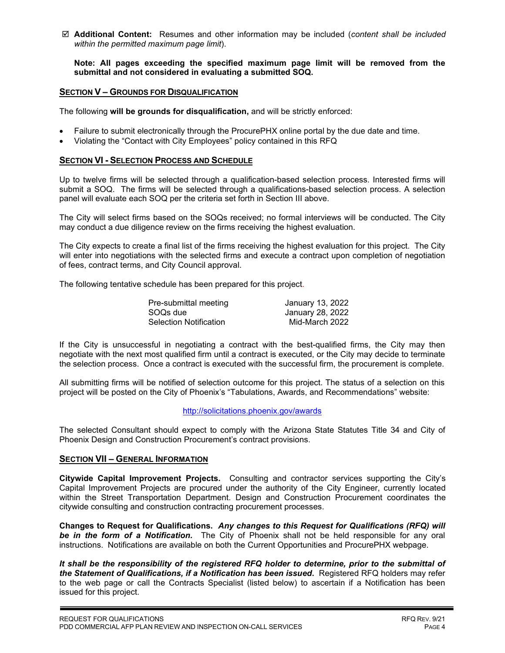**Additional Content:** Resumes and other information may be included (*content shall be included within the permitted maximum page limit*).

**Note: All pages exceeding the specified maximum page limit will be removed from the submittal and not considered in evaluating a submitted SOQ.** 

#### **SECTION V – GROUNDS FOR DISQUALIFICATION**

The following **will be grounds for disqualification,** and will be strictly enforced:

- Failure to submit electronically through the ProcurePHX online portal by the due date and time.
- Violating the "Contact with City Employees" policy contained in this RFQ

#### **SECTION VI - SELECTION PROCESS AND SCHEDULE**

Up to twelve firms will be selected through a qualification-based selection process. Interested firms will submit a SOQ. The firms will be selected through a qualifications-based selection process. A selection panel will evaluate each SOQ per the criteria set forth in Section III above.

The City will select firms based on the SOQs received; no formal interviews will be conducted. The City may conduct a due diligence review on the firms receiving the highest evaluation.

The City expects to create a final list of the firms receiving the highest evaluation for this project. The City will enter into negotiations with the selected firms and execute a contract upon completion of negotiation of fees, contract terms, and City Council approval.

The following tentative schedule has been prepared for this project.

| Pre-submittal meeting         | January 13, 2022 |
|-------------------------------|------------------|
| SOQs due                      | January 28, 2022 |
| <b>Selection Notification</b> | Mid-March 2022   |

If the City is unsuccessful in negotiating a contract with the best-qualified firms, the City may then negotiate with the next most qualified firm until a contract is executed, or the City may decide to terminate the selection process. Once a contract is executed with the successful firm, the procurement is complete.

All submitting firms will be notified of selection outcome for this project. The status of a selection on this project will be posted on the City of Phoenix's "Tabulations, Awards, and Recommendations" website:

#### <http://solicitations.phoenix.gov/awards>

The selected Consultant should expect to comply with the Arizona State Statutes Title 34 and City of Phoenix Design and Construction Procurement's contract provisions.

#### **SECTION VII – GENERAL INFORMATION**

**Citywide Capital Improvement Projects.** Consulting and contractor services supporting the City's Capital Improvement Projects are procured under the authority of the City Engineer, currently located within the Street Transportation Department. Design and Construction Procurement coordinates the citywide consulting and construction contracting procurement processes.

**Changes to Request for Qualifications.** *Any changes to this Request for Qualifications (RFQ) will be in the form of a Notification.* The City of Phoenix shall not be held responsible for any oral instructions. Notifications are available on both the Current Opportunities and ProcurePHX webpage.

*It shall be the responsibility of the registered RFQ holder to determine, prior to the submittal of the Statement of Qualifications, if a Notification has been issued***.** Registered RFQ holders may refer to the web page or call the Contracts Specialist (listed below) to ascertain if a Notification has been issued for this project.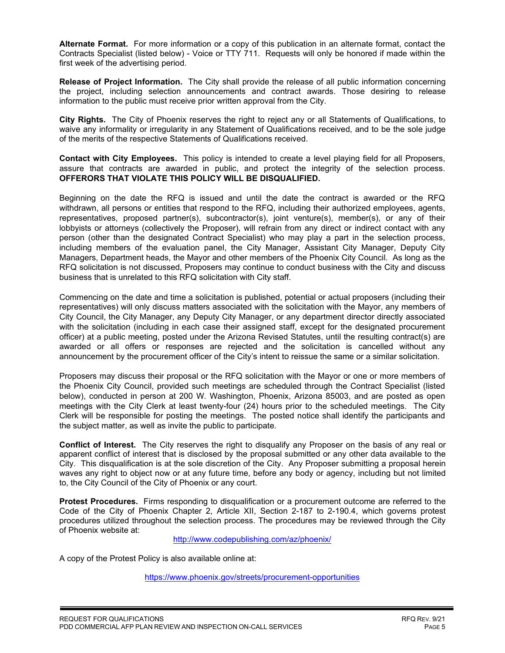**Alternate Format.** For more information or a copy of this publication in an alternate format, contact the Contracts Specialist (listed below) - Voice or TTY 711. Requests will only be honored if made within the first week of the advertising period.

**Release of Project Information.** The City shall provide the release of all public information concerning the project, including selection announcements and contract awards. Those desiring to release information to the public must receive prior written approval from the City.

**City Rights.** The City of Phoenix reserves the right to reject any or all Statements of Qualifications, to waive any informality or irregularity in any Statement of Qualifications received, and to be the sole judge of the merits of the respective Statements of Qualifications received.

**Contact with City Employees.** This policy is intended to create a level playing field for all Proposers, assure that contracts are awarded in public, and protect the integrity of the selection process. **OFFERORS THAT VIOLATE THIS POLICY WILL BE DISQUALIFIED.**

Beginning on the date the RFQ is issued and until the date the contract is awarded or the RFQ withdrawn, all persons or entities that respond to the RFQ, including their authorized employees, agents, representatives, proposed partner(s), subcontractor(s), joint venture(s), member(s), or any of their lobbyists or attorneys (collectively the Proposer), will refrain from any direct or indirect contact with any person (other than the designated Contract Specialist) who may play a part in the selection process, including members of the evaluation panel, the City Manager, Assistant City Manager, Deputy City Managers, Department heads, the Mayor and other members of the Phoenix City Council. As long as the RFQ solicitation is not discussed, Proposers may continue to conduct business with the City and discuss business that is unrelated to this RFQ solicitation with City staff.

Commencing on the date and time a solicitation is published, potential or actual proposers (including their representatives) will only discuss matters associated with the solicitation with the Mayor, any members of City Council, the City Manager, any Deputy City Manager, or any department director directly associated with the solicitation (including in each case their assigned staff, except for the designated procurement officer) at a public meeting, posted under the Arizona Revised Statutes, until the resulting contract(s) are awarded or all offers or responses are rejected and the solicitation is cancelled without any announcement by the procurement officer of the City's intent to reissue the same or a similar solicitation.

Proposers may discuss their proposal or the RFQ solicitation with the Mayor or one or more members of the Phoenix City Council, provided such meetings are scheduled through the Contract Specialist (listed below), conducted in person at 200 W. Washington, Phoenix, Arizona 85003, and are posted as open meetings with the City Clerk at least twenty-four (24) hours prior to the scheduled meetings. The City Clerk will be responsible for posting the meetings. The posted notice shall identify the participants and the subject matter, as well as invite the public to participate.

**Conflict of Interest.** The City reserves the right to disqualify any Proposer on the basis of any real or apparent conflict of interest that is disclosed by the proposal submitted or any other data available to the City. This disqualification is at the sole discretion of the City. Any Proposer submitting a proposal herein waves any right to object now or at any future time, before any body or agency, including but not limited to, the City Council of the City of Phoenix or any court.

**Protest Procedures.** Firms responding to disqualification or a procurement outcome are referred to the Code of the City of Phoenix Chapter 2, Article XII, Section 2-187 to 2-190.4, which governs protest procedures utilized throughout the selection process. The procedures may be reviewed through the City of Phoenix website at:

<http://www.codepublishing.com/az/phoenix/>

A copy of the Protest Policy is also available online at:

<https://www.phoenix.gov/streets/procurement-opportunities>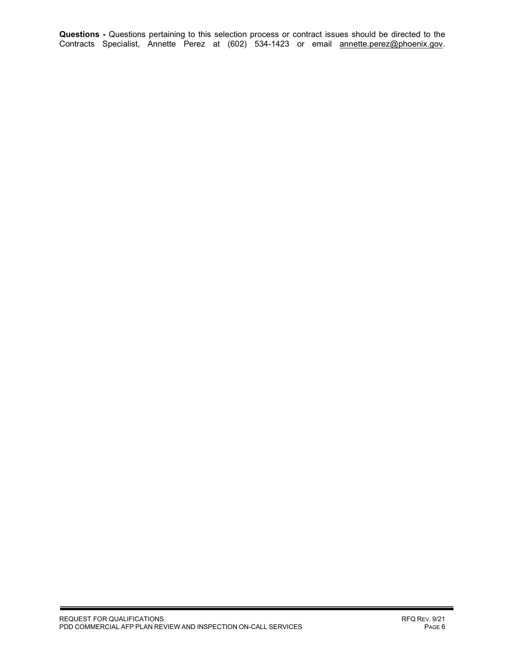**Questions -** Questions pertaining to this selection process or contract issues should be directed to the Contracts Specialist, Annette Perez at (602) 534-1423 or email <u>annette.perez@phoenix.gov</u>.